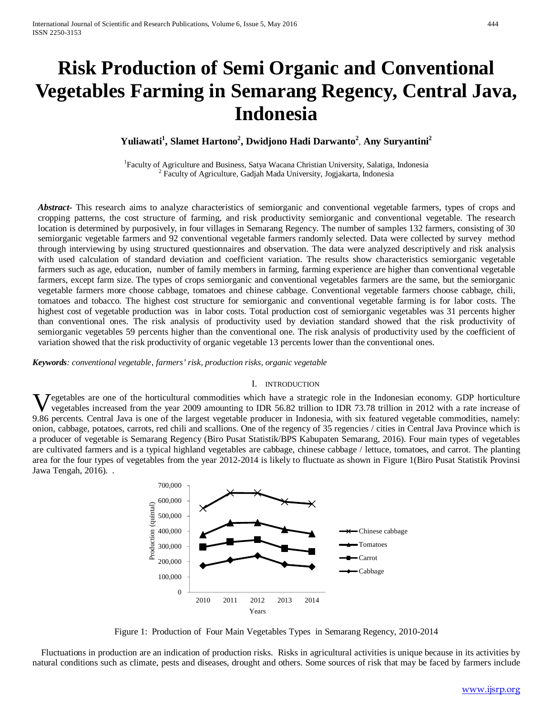# **Risk Production of Semi Organic and Conventional Vegetables Farming in Semarang Regency, Central Java, Indonesia**

 $\mathbf{Y}$ uliawati<sup>1</sup>, Slamet Hartono<sup>2</sup>, Dwidjono Hadi Darwanto<sup>2</sup>, Any Suryantini<sup>2</sup>

<sup>1</sup>Faculty of Agriculture and Business, Satya Wacana Christian University, Salatiga, Indonesia  $2$  Faculty of Agriculture, Gadjah Mada University, Jogjakarta, Indonesia

*Abstract***-** This research aims to analyze characteristics of semiorganic and conventional vegetable farmers, types of crops and cropping patterns, the cost structure of farming, and risk productivity semiorganic and conventional vegetable. The research location is determined by purposively, in four villages in Semarang Regency. The number of samples 132 farmers, consisting of 30 semiorganic vegetable farmers and 92 conventional vegetable farmers randomly selected. Data were collected by survey method through interviewing by using structured questionnaires and observation. The data were analyzed descriptively and risk analysis with used calculation of standard deviation and coefficient variation. The results show characteristics semiorganic vegetable farmers such as age, education, number of family members in farming, farming experience are higher than conventional vegetable farmers, except farm size. The types of crops semiorganic and conventional vegetables farmers are the same, but the semiorganic vegetable farmers more choose cabbage, tomatoes and chinese cabbage. Conventional vegetable farmers choose cabbage, chili, tomatoes and tobacco. The highest cost structure for semiorganic and conventional vegetable farming is for labor costs. The highest cost of vegetable production was in labor costs. Total production cost of semiorganic vegetables was 31 percents higher than conventional ones. The risk analysis of productivity used by deviation standard showed that the risk productivity of semiorganic vegetables 59 percents higher than the conventional one. The risk analysis of productivity used by the coefficient of variation showed that the risk productivity of organic vegetable 13 percents lower than the conventional ones.

*Keywords: conventional vegetable*, *farmers' risk, production risks, organic vegetable*

#### I. INTRODUCTION

Vegetables are one of the horticultural commodities which have a strategic role in the Indonesian economy. GDP horticulture vegetables increased from the year 2009 amounting to IDR 56.82 trillion to IDR 73.78 trillion in 2 vegetables increased from the year 2009 amounting to IDR 56.82 trillion to IDR 73.78 trillion in 2012 with a rate increase of 9.86 percents. Central Java is one of the largest vegetable producer in Indonesia, with six featured vegetable commodities, namely: onion, cabbage, potatoes, carrots, red chili and scallions. One of the regency of 35 regencies / cities in Central Java Province which is a producer of vegetable is Semarang Regency (Biro Pusat Statistik/BPS Kabupaten Semarang, 2016). Four main types of vegetables are cultivated farmers and is a typical highland vegetables are cabbage, chinese cabbage / lettuce, tomatoes, and carrot. The planting area for the four types of vegetables from the year 2012-2014 is likely to fluctuate as shown in Figure 1(Biro Pusat Statistik Provinsi Jawa Tengah, 2016). .



Figure 1: Production of Four Main Vegetables Types in Semarang Regency, 2010-2014

Fluctuations in production are an indication of production risks. Risks in agricultural activities is unique because in its activities by natural conditions such as climate, pests and diseases, drought and others. Some sources of risk that may be faced by farmers include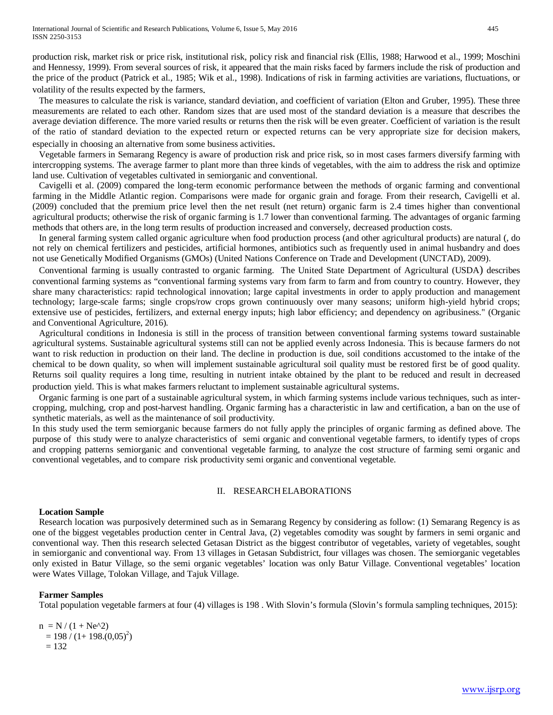production risk, market risk or price risk, institutional risk, policy risk and financial risk (Ellis, 1988; Harwood et al., 1999; Moschini and Hennessy, 1999). From several sources of risk, it appeared that the main risks faced by farmers include the risk of production and the price of the product (Patrick et al., 1985; Wik et al., 1998). Indications of risk in farming activities are variations, fluctuations, or volatility of the results expected by the farmers.

The measures to calculate the risk is variance, standard deviation, and coefficient of variation (Elton and Gruber, 1995). These three measurements are related to each other. Random sizes that are used most of the standard deviation is a measure that describes the average deviation difference. The more varied results or returns then the risk will be even greater. Coefficient of variation is the result of the ratio of standard deviation to the expected return or expected returns can be very appropriate size for decision makers, especially in choosing an alternative from some business activities.

Vegetable farmers in Semarang Regency is aware of production risk and price risk, so in most cases farmers diversify farming with intercropping systems. The average farmer to plant more than three kinds of vegetables, with the aim to address the risk and optimize land use. Cultivation of vegetables cultivated in semiorganic and conventional.

Cavigelli et al. (2009) compared the long-term economic performance between the methods of organic farming and conventional farming in the Middle Atlantic region. Comparisons were made for organic grain and forage. From their research, Cavigelli et al. (2009) concluded that the premium price level then the net result (net return) organic farm is 2.4 times higher than conventional agricultural products; otherwise the risk of organic farming is 1.7 lower than conventional farming. The advantages of organic farming methods that others are, in the long term results of production increased and conversely, decreased production costs.

In general farming system called organic agriculture when food production process (and other agricultural products) are natural (, do not rely on chemical fertilizers and pesticides, artificial hormones, antibiotics such as frequently used in animal husbandry and does not use Genetically Modified Organisms (GMOs) (United Nations Conference on Trade and Development (UNCTAD), 2009).

Conventional farming is usually contrasted to organic farming. The United State Department of Agricultural [\(USDA\)](http://www.nal.usda.gov/afsic/pubs/terms/srb9902.shtml) describes conventional farming systems as "conventional farming systems vary from farm to farm and from country to country. However, they share many characteristics: rapid technological innovation; large capital investments in order to apply production and management technology; large-scale farms; single crops/row crops grown continuously over many seasons; uniform high-yield hybrid crops; extensive use of pesticides, fertilizers, and external energy inputs; high labor efficiency; and dependency on agribusiness." (Organic and Conventional Agriculture, 2016).

Agricultural conditions in Indonesia is still in the process of transition between conventional farming systems toward sustainable agricultural systems. Sustainable agricultural systems still can not be applied evenly across Indonesia. This is because farmers do not want to risk reduction in production on their land. The decline in production is due, soil conditions accustomed to the intake of the chemical to be down quality, so when will implement sustainable agricultural soil quality must be restored first be of good quality. Returns soil quality requires a long time, resulting in nutrient intake obtained by the plant to be reduced and result in decreased production yield. This is what makes farmers reluctant to implement sustainable agricultural systems.

Organic farming is one part of a sustainable agricultural system, in which farming systems include various techniques, such as intercropping, mulching, crop and post-harvest handling. Organic farming has a characteristic in law and certification, a ban on the use of synthetic materials, as well as the maintenance of soil productivity.

In this study used the term semiorganic because farmers do not fully apply the principles of organic farming as defined above. The purpose of this study were to analyze characteristics of semi organic and conventional vegetable farmers, to identify types of crops and cropping patterns semiorganic and conventional vegetable farming, to analyze the cost structure of farming semi organic and conventional vegetables, and to compare risk productivity semi organic and conventional vegetable.

## II. RESEARCH ELABORATIONS

## **Location Sample**

Research location was purposively determined such as in Semarang Regency by considering as follow: (1) Semarang Regency is as one of the biggest vegetables production center in Central Java, (2) vegetables comodity was sought by farmers in semi organic and conventional way. Then this research selected Getasan District as the biggest contributor of vegetables, variety of vegetables, sought in semiorganic and conventional way. From 13 villages in Getasan Subdistrict, four villages was chosen. The semiorganic vegetables only existed in Batur Village, so the semi organic vegetables' location was only Batur Village. Conventional vegetables' location were Wates Village, Tolokan Village, and Tajuk Village.

## **Farmer Samples**

Total population vegetable farmers at four (4) villages is 198 . With Slovin's formula (Slovin's formula sampling techniques, 2015):

 $n = N / (1 + Ne^{\lambda}2)$  $= 198 / (1 + 198.005)^{2}$  $= 132$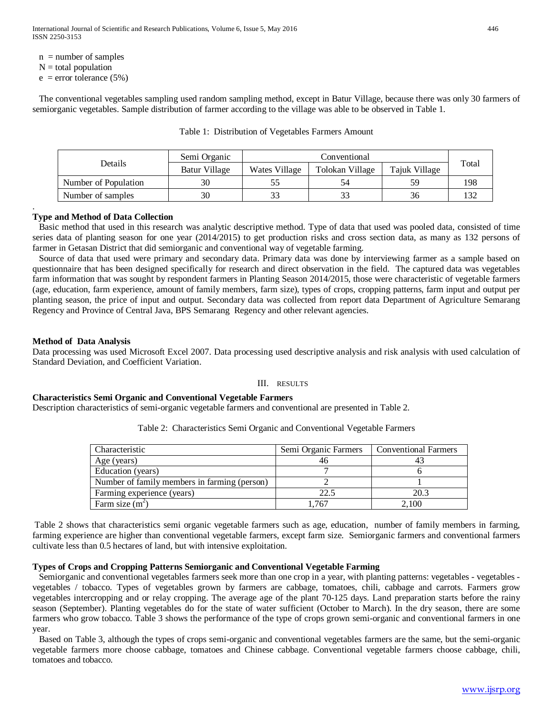- $n =$  number of samples
- $N =$  total population

.

 $e$  = error tolerance (5%)

The conventional vegetables sampling used random sampling method, except in Batur Village, because there was only 30 farmers of semiorganic vegetables. Sample distribution of farmer according to the village was able to be observed in Table 1.

|                      | Semi Organic  | Conventional  |                 |               |       |
|----------------------|---------------|---------------|-----------------|---------------|-------|
| Details              | Batur Village | Wates Village | Tolokan Village | Tajuk Village | Total |
| Number of Population |               |               |                 | 59            | 198   |
| Number of samples    | 30            |               |                 | 36            |       |

Table 1: Distribution of Vegetables Farmers Amount

# **Type and Method of Data Collection**

Basic method that used in this research was analytic descriptive method. Type of data that used was pooled data, consisted of time series data of planting season for one year (2014/2015) to get production risks and cross section data, as many as 132 persons of farmer in Getasan District that did semiorganic and conventional way of vegetable farming.

Source of data that used were primary and secondary data. Primary data was done by interviewing farmer as a sample based on questionnaire that has been designed specifically for research and direct observation in the field. The captured data was vegetables farm information that was sought by respondent farmers in Planting Season 2014/2015, those were characteristic of vegetable farmers (age, education, farm experience, amount of family members, farm size), types of crops, cropping patterns, farm input and output per planting season, the price of input and output. Secondary data was collected from report data Department of Agriculture Semarang Regency and Province of Central Java, BPS Semarang Regency and other relevant agencies.

## **Method of Data Analysis**

Data processing was used Microsoft Excel 2007. Data processing used descriptive analysis and risk analysis with used calculation of Standard Deviation, and Coefficient Variation.

## III. RESULTS

## **Characteristics Semi Organic and Conventional Vegetable Farmers**

Description characteristics of semi-organic vegetable farmers and conventional are presented in Table 2.

| Table 2: Characteristics Semi Organic and Conventional Vegetable Farmers |  |
|--------------------------------------------------------------------------|--|
|--------------------------------------------------------------------------|--|

| Characteristic                               | Semi Organic Farmers | <b>Conventional Farmers</b> |
|----------------------------------------------|----------------------|-----------------------------|
| Age (years)                                  | 46                   |                             |
| Education (years)                            |                      |                             |
| Number of family members in farming (person) |                      |                             |
| Farming experience (years)                   | 22.5                 | 20.3                        |
| Farm size $(m^2)$                            | .767                 | 2.100                       |

Table 2 shows that characteristics semi organic vegetable farmers such as age, education, number of family members in farming, farming experience are higher than conventional vegetable farmers, except farm size. Semiorganic farmers and conventional farmers cultivate less than 0.5 hectares of land, but with intensive exploitation.

## **Types of Crops and Cropping Patterns Semiorganic and Conventional Vegetable Farming**

Semiorganic and conventional vegetables farmers seek more than one crop in a year, with planting patterns: vegetables - vegetables vegetables / tobacco. Types of vegetables grown by farmers are cabbage, tomatoes, chili, cabbage and carrots. Farmers grow vegetables intercropping and or relay cropping. The average age of the plant 70-125 days. Land preparation starts before the rainy season (September). Planting vegetables do for the state of water sufficient (October to March). In the dry season, there are some farmers who grow tobacco. Table 3 shows the performance of the type of crops grown semi-organic and conventional farmers in one year.

Based on Table 3, although the types of crops semi-organic and conventional vegetables farmers are the same, but the semi-organic vegetable farmers more choose cabbage, tomatoes and Chinese cabbage. Conventional vegetable farmers choose cabbage, chili, tomatoes and tobacco.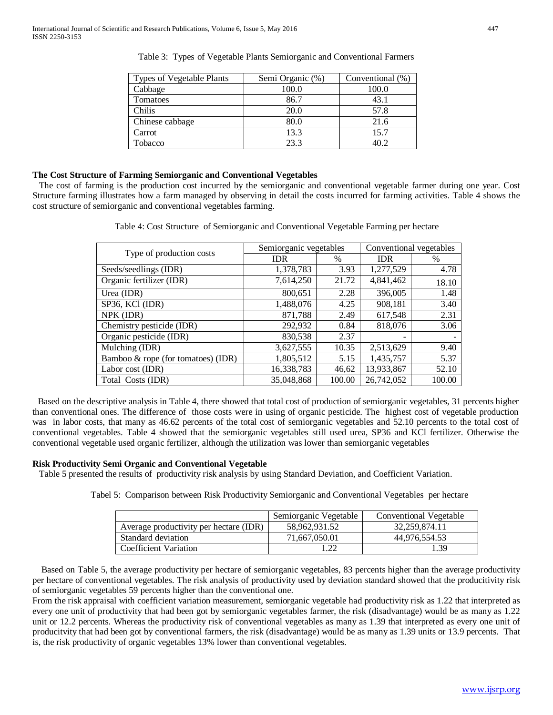| <b>Types of Vegetable Plants</b> | Semi Organic (%) | Conventional (%) |
|----------------------------------|------------------|------------------|
| Cabbage                          | 100.0            | 100.0            |
| Tomatoes                         | 86.7             | 43.1             |
| Chilis                           | 20.0             | 57.8             |
| Chinese cabbage                  | 80.0             | 21.6             |
| Carrot                           | 13.3             | 15.7             |
| Tobacco                          | 23.3             | 1∩ ว             |

Table 3: Types of Vegetable Plants Semiorganic and Conventional Farmers

## **The Cost Structure of Farming Semiorganic and Conventional Vegetables**

The cost of farming is the production cost incurred by the semiorganic and conventional vegetable farmer during one year. Cost Structure farming illustrates how a farm managed by observing in detail the costs incurred for farming activities. Table 4 shows the cost structure of semiorganic and conventional vegetables farming.

| Type of production costs              | Semiorganic vegetables |        | Conventional vegetables |        |
|---------------------------------------|------------------------|--------|-------------------------|--------|
|                                       | <b>IDR</b>             | %      | <b>IDR</b>              | $\%$   |
| Seeds/seedlings (IDR)                 | 1,378,783              | 3.93   | 1,277,529               | 4.78   |
| Organic fertilizer (IDR)              | 7,614,250              | 21.72  | 4,841,462               | 18.10  |
| Urea (IDR)                            | 800,651                | 2.28   | 396,005                 | 1.48   |
| SP36, KCl (IDR)                       | 1,488,076              | 4.25   | 908,181                 | 3.40   |
| NPK (IDR)                             | 871,788                | 2.49   | 617,548                 | 2.31   |
| Chemistry pesticide (IDR)             | 292,932                | 0.84   | 818,076                 | 3.06   |
| Organic pesticide (IDR)               | 830,538                | 2.37   |                         |        |
| Mulching (IDR)                        | 3,627,555              | 10.35  | 2,513,629               | 9.40   |
| Bamboo $\&$ rope (for tomatoes) (IDR) | 1,805,512              | 5.15   | 1,435,757               | 5.37   |
| Labor cost (IDR)                      | 16,338,783             | 46,62  | 13,933,867              | 52.10  |
| Total Costs (IDR)                     | 35,048,868             | 100.00 | 26,742,052              | 100.00 |

Table 4: Cost Structure of Semiorganic and Conventional Vegetable Farming per hectare

Based on the descriptive analysis in Table 4, there showed that total cost of production of semiorganic vegetables, 31 percents higher than conventional ones. The difference of those costs were in using of organic pesticide. The highest cost of vegetable production was in labor costs, that many as 46.62 percents of the total cost of semiorganic vegetables and 52.10 percents to the total cost of conventional vegetables. Table 4 showed that the semiorganic vegetables still used urea, SP36 and KCl fertilizer. Otherwise the conventional vegetable used organic fertilizer, although the utilization was lower than semiorganic vegetables

#### **Risk Productivity Semi Organic and Conventional Vegetable**

Table 5 presented the results of productivity risk analysis by using Standard Deviation, and Coefficient Variation.

Tabel 5: Comparison between Risk Productivity Semiorganic and Conventional Vegetables per hectare

|                                        | Semiorganic Vegetable | Conventional Vegetable |
|----------------------------------------|-----------------------|------------------------|
| Average productivity per hectare (IDR) | 58,962,931.52         | 32,259,874.11          |
| Standard deviation                     | 71,667,050.01         | 44.976.554.53          |
| Coefficient Variation                  |                       | 1 39                   |

 Based on Table 5, the average productivity per hectare of semiorganic vegetables, 83 percents higher than the average productivity per hectare of conventional vegetables. The risk analysis of productivity used by deviation standard showed that the producitivity risk of semiorganic vegetables 59 percents higher than the conventional one.

From the risk appraisal with coefficient variation measurement, semiorganic vegetable had productivity risk as 1.22 that interpreted as every one unit of productivity that had been got by semiorganic vegetables farmer, the risk (disadvantage) would be as many as 1.22 unit or 12.2 percents. Whereas the productivity risk of conventional vegetables as many as 1.39 that interpreted as every one unit of producitvity that had been got by conventional farmers, the risk (disadvantage) would be as many as 1.39 units or 13.9 percents. That is, the risk productivity of organic vegetables 13% lower than conventional vegetables.